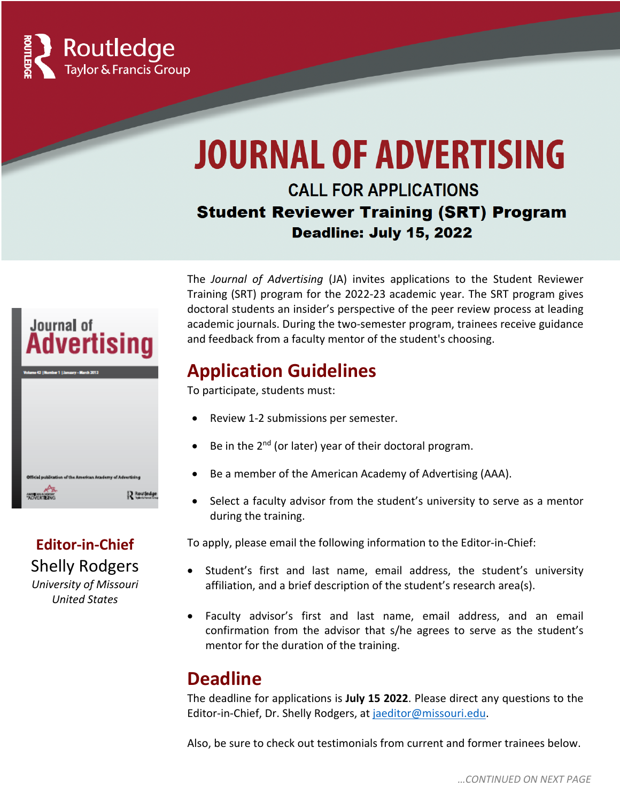

# **JOURNAL OF ADVERTISING**

#### **CALL FOR APPLICATIONS Student Reviewer Training (SRT) Program Deadline: July 15, 2022**

Journal of **Advertising MARINA ACADEMI** 12 Roy

# **Editor-in-Chief** Shelly Rodgers

*University of Missouri United States*

The *Journal of Advertising* (JA) invites applications to the Student Reviewer Training (SRT) program for the 2022-23 academic year. The SRT program gives doctoral students an insider's perspective of the peer review process at leading academic journals. During the two-semester program, trainees receive guidance and feedback from a faculty mentor of the student's choosing.

#### **Application Guidelines**

To participate, students must:

- Review 1-2 submissions per semester.
- Be in the  $2<sup>nd</sup>$  (or later) year of their doctoral program.
- Be a member of the American Academy of Advertising (AAA).
- Select a faculty advisor from the student's university to serve as a mentor during the training.

To apply, please email the following information to the Editor-in-Chief:

- Student's first and last name, email address, the student's university affiliation, and a brief description of the student's research area(s).
- Faculty advisor's first and last name, email address, and an email confirmation from the advisor that s/he agrees to serve as the student's mentor for the duration of the training.

## **Deadline**

The deadline for applications is **July 15 2022**. Please direct any questions to the Editor-in-Chief, Dr. Shelly Rodgers, at jaeditor@missouri.edu.

Also, be sure to check out testimonials from current and former trainees below.